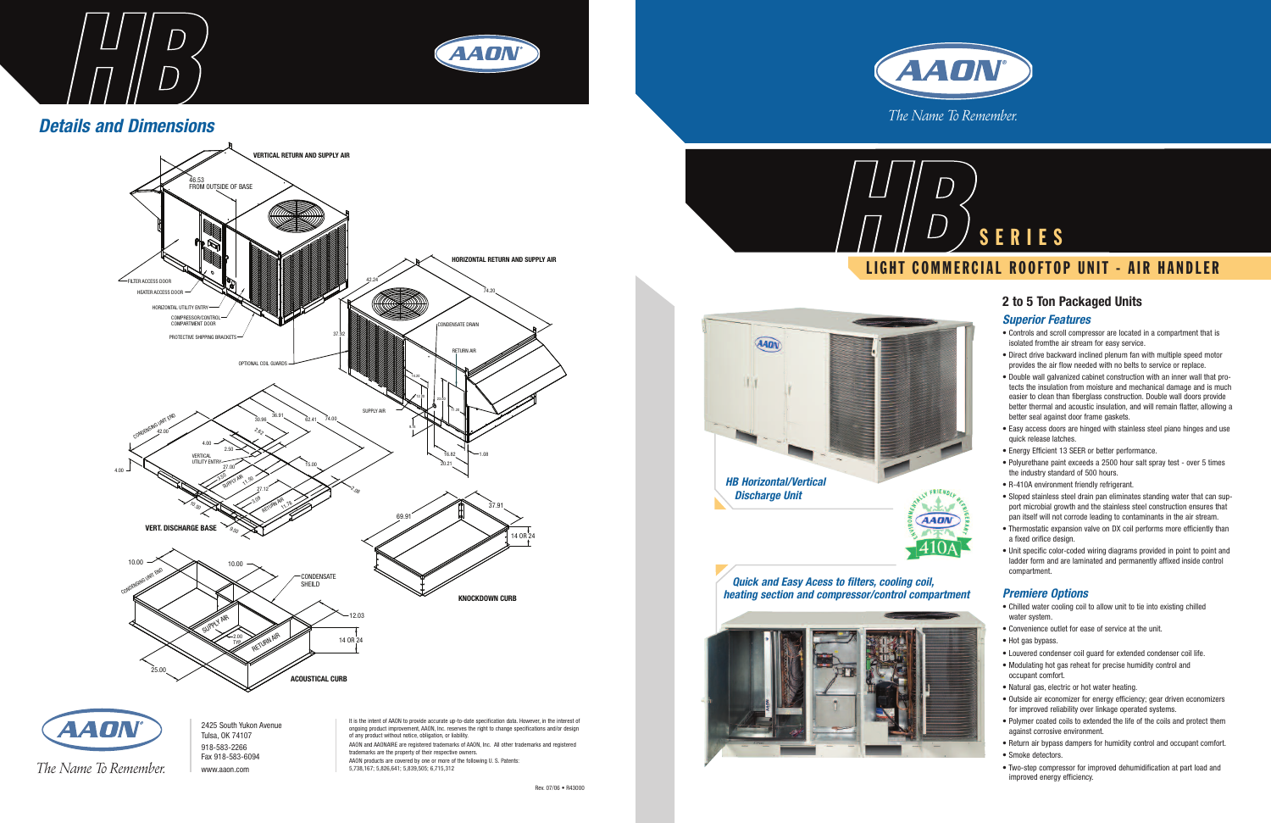

## **2 to 5 Ton Packaged Units**

### *Superior Features*

- Controls and scroll compressor are located in a compartment that is isolated fromthe air stream for easy service.
- Direct drive backward inclined plenum fan with multiple speed motor provides the air flow needed with no belts to service or replace.
- Double wall galvanized cabinet construction with an inner wall that protects the insulation from moisture and mechanical damage and is much easier to clean than fiberglass construction. Double wall doors provide better thermal and acoustic insulation, and will remain flatter, allowing a better seal against door frame gaskets.
- Easy access doors are hinged with stainless steel piano hinges and use quick release latches.
- Energy Efficient 13 SEER or better performance.
- Polyurethane paint exceeds a 2500 hour salt spray test over 5 times the industry standard of 500 hours.
- R-410A environment friendly refrigerant.
- Sloped stainless steel drain pan eliminates standing water that can support microbial growth and the stainless steel construction ensures that pan itself will not corrode leading to contaminants in the air stream.
- Thermostatic expansion valve on DX coil performs more efficiently than a fixed orifice design.
- Unit specific color-coded wiring diagrams provided in point to point and ladder form and are laminated and permanently affixed inside control compartment.

#### *Premiere Options*

- Chilled water cooling coil to allow unit to tie into existing chilled water system.
- Convenience outlet for ease of service at the unit.
- Hot gas bypass.
- Louvered condenser coil guard for extended condenser coil life.
- Modulating hot gas reheat for precise humidity control and occupant comfort.
- Natural gas, electric or hot water heating.
- Outside air economizer for energy efficiency; gear driven economizers for improved reliability over linkage operated systems.
- Polymer coated coils to extended the life of the coils and protect them against corrosive environment.
- Return air bypass dampers for humidity control and occupant comfort.
- Smoke detectors.
- Two-step compressor for improved dehumidification at part load and improved energy efficiency.

## **LIGHT COMMERCIAL ROOFTOP UNIT - AIR HANDLER**



*Quick and Easy Acess to filters, cooling coil, heating section and compressor/control compartment*



![](_page_0_Picture_5.jpeg)

![](_page_0_Picture_1.jpeg)

## *Details and Dimensions*